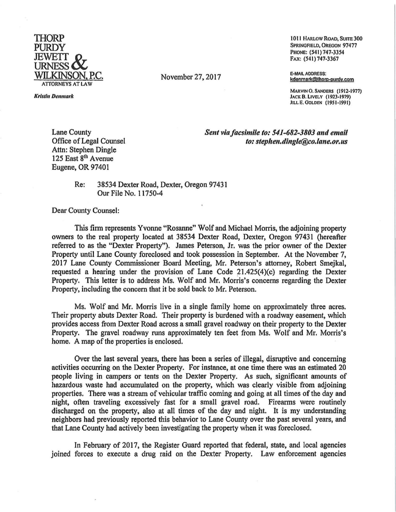

**Kristin Denmark** 

November 27, 2017

I 011 HARLOW ROAD, SUITE 300 SPRINGFIELD, OREGON 97477 PHONE: (541) 747-3354 FAX: (541)747·3367

E·MAIL ADDRESS: kdenmark@lhom-purdy.com

MARVINO. SANDERS (1912-1977) JACK B. LIVELY (1923-1979) JILLE. OOLDEN (19Sl-1991)

Lane County Office of Legal Counsel Attn: Stephen Dingle 125 East 8<sup>th</sup> Avenue Eugene, OR 97401

## **Sent via facsimile to: 541-682-3803 and email** *to: step/1en.ding/e@co.lane.or.us*

## Re: 38534 Dexter Road, Dexter, Oregon 97431 Our File No. 11750-4

Dear County Counsel:

This firm represents Yvonne "Rosanne" Wolf and Michael Morris, the adjoining property owners to the real property located at 38534 Dexter Road, Dexter, Oregon 97431 (hereafter referred to as the "Dexter Property"). James Peterson, Jr. was the prior owner of the Dexter Property until Lane County foreclosed and took possession in September. At the November 7, 2017 Lane County Commissioner Board Meeting, Mr. Peterson's attorney, Robert Smejkal, requested a hearing under the provision of Lane Code 21.425(4)(c) regarding the Dexter Property. This letter is to address Ms. Wolf and Mr. Morris's concerns regarding the Dexter Property, including the concern that it be sold back to Mr. Peterson.

Ms. Wolf and Mr. Morris live in a single family home on approximately three acres. Their property abuts Dexter Road. Their property is burdened with a roadway easement, which provides access from Dexter Road across a small gravel roadway on their property to the Dexter Property. The gravel roadway runs approximately ten feet from Ms. Wolf and Mr. Morris's home. A map of the properties is enclosed.

Over the last several years, there has been a series of illegal, disruptive and concerning activities occurring on the Dexter Property. For instance, at one time there was an estimated 20 people Jiving in campers or tents on the Dexter Property. As such, significant amounts of hazardous waste had accumulated on the property, which was clearly visible from adjoining properties. There was a stream of vehicular traffic coming and going at all times of the day and night, often traveling excessively fast for a small gravel road. Firearms were routinely discharged on the property, also at all times of the day and night. It is my understanding neighbors had previously reported this behavior to Lane County over the past several years, and that Lane County had actively been investigating the property when it was foreclosed.

In February of 2017, the Register Guard reported that federal, state, and local agencies joined forces to execute a drug raid on the Dexter Property. Law enforcement agencies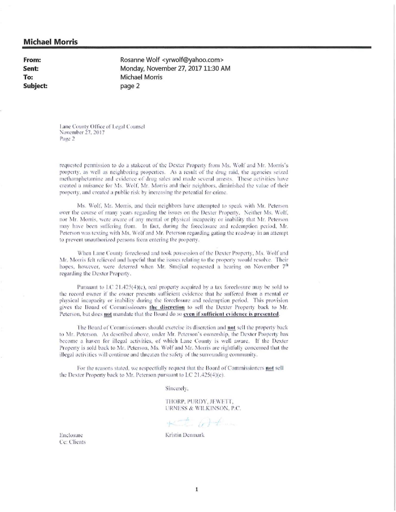## **Michael Morris**

From: Sent: To: Subject: Rosanne Wolf <vrwolf@yahoo.com> Monday, November 27, 2017 11:30 AM **Michael Morris** page 2

Lane County Office of Legal Counsel November 27, 2017 Page 2

requested permission to do a stakeout of the Dexter Property from Ms. Wolf and Mr. Morris's property, as well as neighboring properties. As a result of the drug raid, the agencies seized methamphetamine and evidence of drug sales and made several arrests. These activities have created a nuisance for Ms. Wolf, Mr. Morris and their neighbors, diminished the value of their property, and created a public risk by increasing the potential for crime.

Ms. Wolf, Mr. Morris, and their neighbors have attempted to speak with Mr. Peterson over the course of many years regarding the issues on the Dexter Property. Neither Ms. Wolf, nor Mr. Morris, were aware of any mental or physical incapacity or inability that Mr. Peterson may have been suffering from. In fact, during the foreclosure and redemption period, Mr. Peterson was texting with Ms. Wolf and Mr. Peterson regarding gating the roadway in an attempt to prevent unauthorized persons from entering the property.

When Lane County foreclosed and took possession of the Dexter Property, Ms. Wolf and Mr. Morris felt relieved and hopeful that the issues relating to the property would resolve. Their hopes, however, were deterred when Mr. Smejkal requested a hearing on November 7th regarding the Dexter Property.

Pursuant to LC 21.425(4)(c), real property acquired by a tax foreclosure may be sold to the record owner if the owner presents sufficient evidence that he suffered from a mental or physical incapacity or inability during the foreclosure and redemption period. This provision gives the Board of Commissioners the discretion to sell the Dexter Property back to Mr. Peterson, but does not mandate that the Board do so even if sufficient evidence is presented.

The Board of Commissioners should exercise its discretion and not sell the property back to Mr. Peterson. As described above, under Mr. Peterson's ownership, the Dexter Property has become a haven for illegal activities, of which Lane County is well aware. If the Dexter Property is sold back to Mr. Peterson, Ms. Wolf and Mr. Morris are rightfully concerned that the illegal activities will continue and threaten the safety of the surrounding community.

For the reasons stated, we respectfully request that the Board of Commissioners not sell the Dexter Property back to Mr. Peterson pursuant to LC 21.425(4)(e).

Sincerely,

THORP, PURDY, JEWETT, URNESS & WILKINSON, P.C.

 $+2$  (1)  $+$ 

Enclosure Ce: Clients

Kristin Denmark